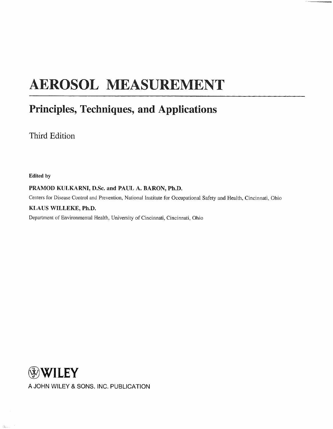## AEROSOL MEASUREMENT

## Principles, Techniques, and Applications

Third Edition

Edited by

 $\hat{\gamma}_{\rm 2D,eq}^{(2)}$ 

PRAMOD KULKARNI, D.Sc. and PAUL A. BARON, Ph.D.

Centers for Disease Control and Prevention, National Institute for Occupational Safety and Health, Cincinnati, Ohio

## KLAUS WILLEKE, Ph.D.

Department of Environmental Health, University of Cincinnati, Cincinnati, Ohio

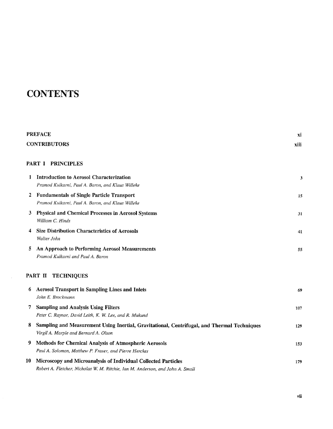## **CONTENTS**

|    | <b>PREFACE</b>                                                                                                                                   | хi   |
|----|--------------------------------------------------------------------------------------------------------------------------------------------------|------|
|    | <b>CONTRIBUTORS</b>                                                                                                                              | xiii |
|    | PART I PRINCIPLES                                                                                                                                |      |
| 1  | <b>Introduction to Aerosol Characterization</b><br>Pramod Kulkarni, Paul A. Baron, and Klaus Willeke                                             | 3    |
| 2  | <b>Fundamentals of Single Particle Transport</b><br>Pramod Kulkarni, Paul A. Baron, and Klaus Willeke                                            | 15   |
| 3  | <b>Physical and Chemical Processes in Aerosol Systems</b><br>William C. Hinds                                                                    | 31   |
| 4  | <b>Size Distribution Characteristics of Aerosols</b><br>Walter John                                                                              | 41   |
| 5  | An Approach to Performing Aerosol Measurements<br>Pramod Kulkarni and Paul A. Baron                                                              | 55   |
|    | PART II TECHNIQUES                                                                                                                               |      |
| 6  | <b>Aerosol Transport in Sampling Lines and Inlets</b><br>John E. Brockmann                                                                       | 69   |
| 7  | <b>Sampling and Analysis Using Filters</b><br>Peter C. Raynor, David Leith, K. W. Lee, and R. Mukund                                             | 107  |
| 8  | Sampling and Measurement Using Inertial, Gravitational, Centrifugal, and Thermal Techniques<br>Virgil A. Marple and Bernard A. Olson             | 129  |
| 9  | Methods for Chemical Analysis of Atmospheric Aerosols<br>Paul A. Solomon, Matthew P. Fraser, and Pierre Herckes                                  | 153  |
| 10 | Microscopy and Microanalysis of Individual Collected Particles<br>Robert A. Fletcher, Nicholas W. M. Ritchie, Ian M. Anderson, and John A. Small | 179  |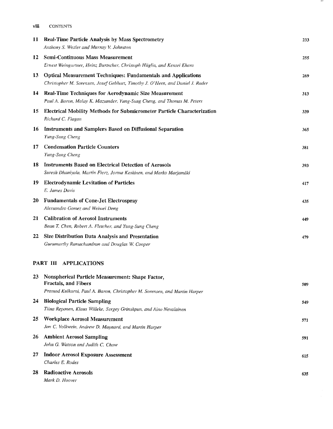| viii | <b>CONTENTS</b>                                                                                                                                               |     |
|------|---------------------------------------------------------------------------------------------------------------------------------------------------------------|-----|
| 11   | <b>Real-Time Particle Analysis by Mass Spectrometry</b><br>Anthony S. Wexler and Murray V. Johnston                                                           | 233 |
| 12   | <b>Semi-Continuous Mass Measurement</b><br>Ernest Weingartner, Heinz Burtscher, Christoph Hüglin, and Kensei Ehara                                            | 255 |
| 13   | <b>Optical Measurement Techniques: Fundamentals and Applications</b><br>Christopher M. Sorensen, Josef Gebhart, Timothy J. O'Hern, and Daniel J. Rader        | 269 |
| 14   | <b>Real-Time Techniques for Aerodynamic Size Measurement</b><br>Paul A. Baron, Malay K. Mazumder, Yung-Sung Cheng, and Thomas M. Peters                       | 313 |
| 15   | <b>Electrical Mobility Methods for Submicrometer Particle Characterization</b><br>Richard C. Flagan                                                           | 339 |
| 16   | <b>Instruments and Samplers Based on Diffusional Separation</b><br>Yung-Sung Cheng                                                                            | 365 |
| 17   | <b>Condensation Particle Counters</b><br>Yung-Sung Cheng                                                                                                      | 381 |
| 18   | <b>Instruments Based on Electrical Detection of Aerosols</b><br>Suresh Dhaniyala, Martin Fierz, Jorma Keskinen, and Marko Marjamäki                           | 393 |
| 19   | <b>Electrodynamic Levitation of Particles</b><br>E. James Davis                                                                                               | 417 |
| 20   | <b>Fundamentals of Cone-Jet Electrospray</b><br>Alessandro Gomez and Weiwei Deng                                                                              | 435 |
| 21   | <b>Calibration of Aerosol Instruments</b><br>Bean T. Chen, Robert A. Fletcher, and Yung-Sung Cheng                                                            | 449 |
| 22   | Size Distribution Data Analysis and Presentation<br>Gurumurthy Ramachandran and Douglas W. Cooper                                                             | 479 |
|      | PART III APPLICATIONS                                                                                                                                         |     |
| 23   | Nonspherical Particle Measurement: Shape Factor,<br><b>Fractals, and Fibers</b><br>Pramod Kulkarni, Paul A. Baron, Christopher M. Sorensen, and Martin Harper | 509 |
| 24   | <b>Biological Particle Sampling</b><br>Tiina Reponen, Klaus Willeke, Sergey Grinshpun, and Aino Nevalainen                                                    | 549 |
| 25   | <b>Workplace Aerosol Measurement</b><br>Jon C. Volkwein, Andrew D. Maynard, and Martin Harper                                                                 | 571 |
| 26   | <b>Ambient Aerosol Sampling</b><br>John G. Watson and Judith C. Chow                                                                                          | 591 |
| 27   | <b>Indoor Aerosol Exposure Assessment</b><br>Charles E. Rodes                                                                                                 | 615 |
| 28   | <b>Radioactive Aerosols</b><br>Mark D. Hoover                                                                                                                 | 635 |

 $\overline{\phantom{m}}$